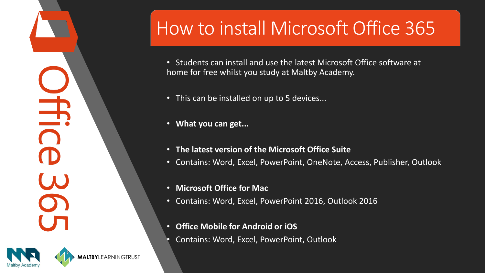$\breve{\pm}$ 



**MALTBY**LEARNINGTRUST

## How to install Microsoft Office 365

• Students can install and use the latest Microsoft Office software at home for free whilst you study at Maltby Academy.

- This can be installed on up to 5 devices...
- **What you can get...**
- **The latest version of the Microsoft Office Suite**
- Contains: Word, Excel, PowerPoint, OneNote, Access, Publisher, Outlook
- **Microsoft Office for Mac**
- Contains: Word, Excel, PowerPoint 2016, Outlook 2016
- **Office Mobile for Android or iOS**
- Contains: Word, Excel, PowerPoint, Outlook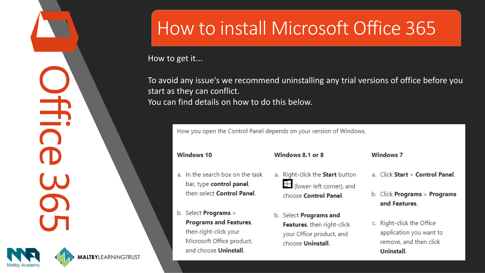



## How to install Microsoft Office 365

How to get it...

To avoid any issue's we recommend uninstalling any trial versions of office before you start as they can conflict. You can find details on how to do this below.

How you open the Control Panel depends on your version of Windows.

**Windows 10** 

- a. In the search box on the task bar, type control panel, then select Control Panel.
- b. Select Programs > **Programs and Features,** then right-click your Microsoft Office product, and choose Uninstall.

Windows 8.1 or 8

- a. Right-click the Start button  $\pm$  (lower-left corner), and choose Control Panel.
- b. Select Programs and Features, then right-click your Office product, and choose Uninstall.
- **Windows 7**
- a. Click Start > Control Panel.
- b. Click Programs > Programs and Features.
- c. Right-click the Office application you want to remove, and then click Uninstall.